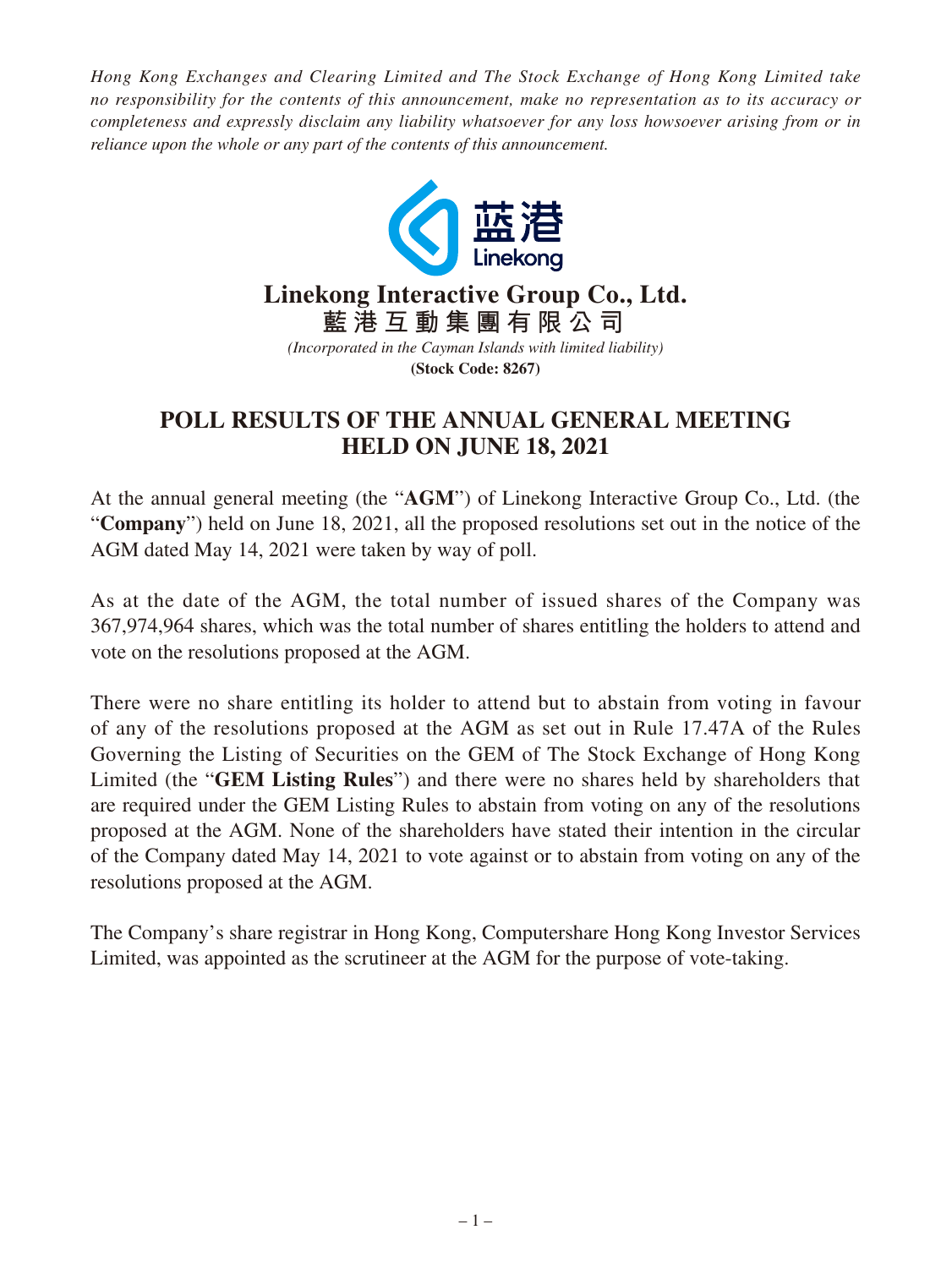*Hong Kong Exchanges and Clearing Limited and The Stock Exchange of Hong Kong Limited take no responsibility for the contents of this announcement, make no representation as to its accuracy or completeness and expressly disclaim any liability whatsoever for any loss howsoever arising from or in reliance upon the whole or any part of the contents of this announcement.*



## **POLL RESULTS OF THE ANNUAL GENERAL MEETING HELD ON JUNE 18, 2021**

At the annual general meeting (the "**AGM**") of Linekong Interactive Group Co., Ltd. (the "**Company**") held on June 18, 2021, all the proposed resolutions set out in the notice of the AGM dated May 14, 2021 were taken by way of poll.

As at the date of the AGM, the total number of issued shares of the Company was 367,974,964 shares, which was the total number of shares entitling the holders to attend and vote on the resolutions proposed at the AGM.

There were no share entitling its holder to attend but to abstain from voting in favour of any of the resolutions proposed at the AGM as set out in Rule 17.47A of the Rules Governing the Listing of Securities on the GEM of The Stock Exchange of Hong Kong Limited (the "**GEM Listing Rules**") and there were no shares held by shareholders that are required under the GEM Listing Rules to abstain from voting on any of the resolutions proposed at the AGM. None of the shareholders have stated their intention in the circular of the Company dated May 14, 2021 to vote against or to abstain from voting on any of the resolutions proposed at the AGM.

The Company's share registrar in Hong Kong, Computershare Hong Kong Investor Services Limited, was appointed as the scrutineer at the AGM for the purpose of vote-taking.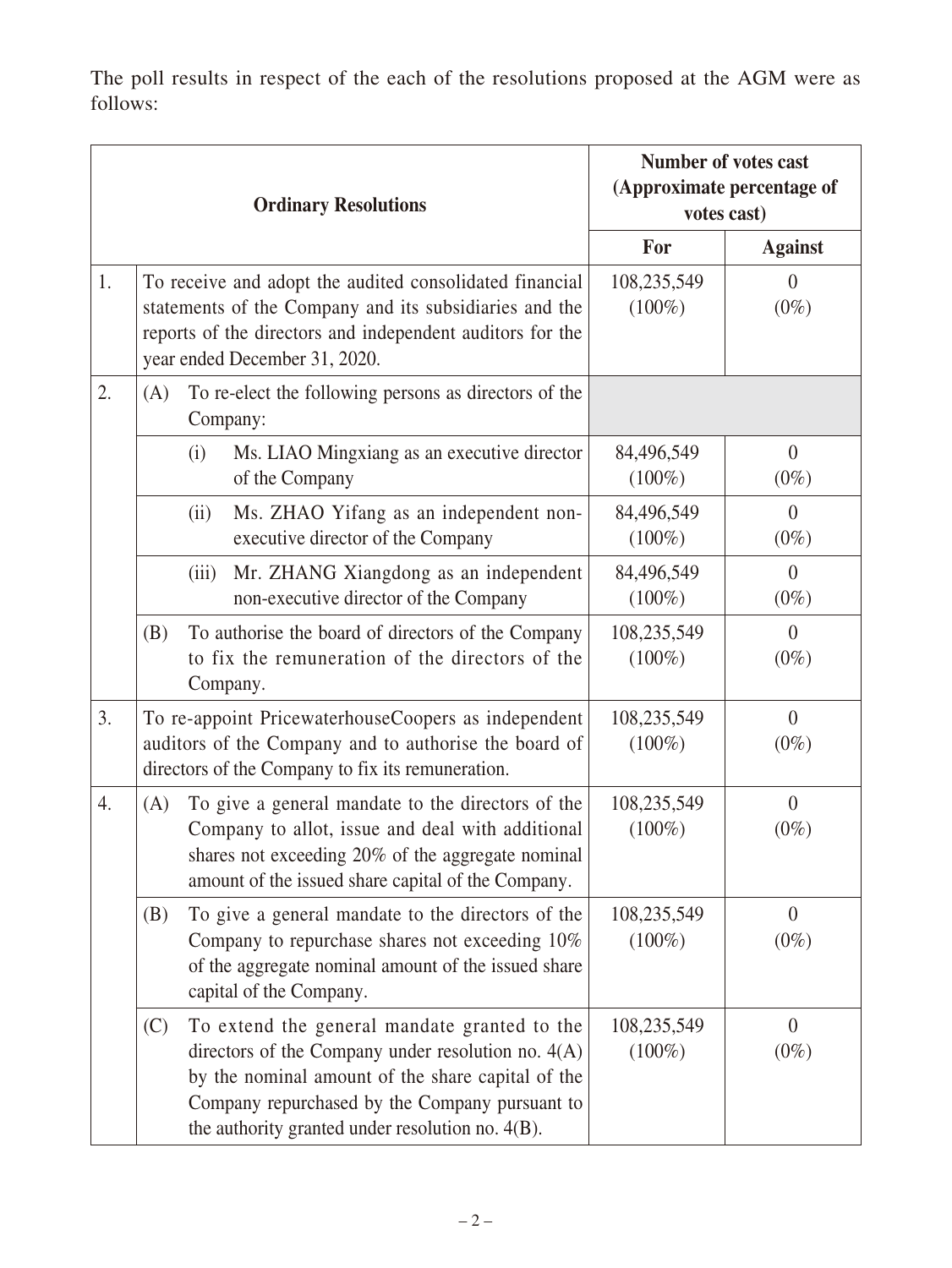The poll results in respect of the each of the resolutions proposed at the AGM were as follows:

| <b>Ordinary Resolutions</b> |     |                                                                                                                                                                                                                  |                                                                                                                                                                                                                                                                 | <b>Number of votes cast</b><br>(Approximate percentage of<br>votes cast) |                           |
|-----------------------------|-----|------------------------------------------------------------------------------------------------------------------------------------------------------------------------------------------------------------------|-----------------------------------------------------------------------------------------------------------------------------------------------------------------------------------------------------------------------------------------------------------------|--------------------------------------------------------------------------|---------------------------|
|                             |     |                                                                                                                                                                                                                  |                                                                                                                                                                                                                                                                 | For                                                                      | <b>Against</b>            |
| 1.                          |     |                                                                                                                                                                                                                  | To receive and adopt the audited consolidated financial<br>statements of the Company and its subsidiaries and the<br>reports of the directors and independent auditors for the<br>year ended December 31, 2020.                                                 | 108,235,549<br>$(100\%)$                                                 | $\theta$<br>$(0\%)$       |
| 2.                          | (A) | To re-elect the following persons as directors of the<br>Company:                                                                                                                                                |                                                                                                                                                                                                                                                                 |                                                                          |                           |
|                             |     | (i)                                                                                                                                                                                                              | Ms. LIAO Mingxiang as an executive director<br>of the Company                                                                                                                                                                                                   | 84,496,549<br>$(100\%)$                                                  | $\theta$<br>$(0\%)$       |
|                             |     | (ii)                                                                                                                                                                                                             | Ms. ZHAO Yifang as an independent non-<br>executive director of the Company                                                                                                                                                                                     | 84,496,549<br>$(100\%)$                                                  | $\overline{0}$<br>$(0\%)$ |
|                             |     | (iii)                                                                                                                                                                                                            | Mr. ZHANG Xiangdong as an independent<br>non-executive director of the Company                                                                                                                                                                                  | 84,496,549<br>$(100\%)$                                                  | $\theta$<br>$(0\%)$       |
|                             | (B) |                                                                                                                                                                                                                  | To authorise the board of directors of the Company<br>to fix the remuneration of the directors of the<br>Company.                                                                                                                                               | 108,235,549<br>$(100\%)$                                                 | $\theta$<br>$(0\%)$       |
| 3.                          |     |                                                                                                                                                                                                                  | To re-appoint PricewaterhouseCoopers as independent<br>auditors of the Company and to authorise the board of<br>directors of the Company to fix its remuneration.                                                                                               | 108,235,549<br>$(100\%)$                                                 | $\overline{0}$<br>$(0\%)$ |
| 4.                          | (A) | To give a general mandate to the directors of the<br>Company to allot, issue and deal with additional<br>shares not exceeding 20% of the aggregate nominal<br>amount of the issued share capital of the Company. |                                                                                                                                                                                                                                                                 | 108,235,549<br>$(100\%)$                                                 | $\overline{0}$<br>$(0\%)$ |
|                             | (B) |                                                                                                                                                                                                                  | To give a general mandate to the directors of the<br>Company to repurchase shares not exceeding 10%<br>of the aggregate nominal amount of the issued share<br>capital of the Company.                                                                           | 108,235,549<br>$(100\%)$                                                 | $\theta$<br>$(0\%)$       |
|                             | (C) |                                                                                                                                                                                                                  | To extend the general mandate granted to the<br>directors of the Company under resolution no. $4(A)$<br>by the nominal amount of the share capital of the<br>Company repurchased by the Company pursuant to<br>the authority granted under resolution no. 4(B). | 108,235,549<br>$(100\%)$                                                 | $\theta$<br>$(0\%)$       |